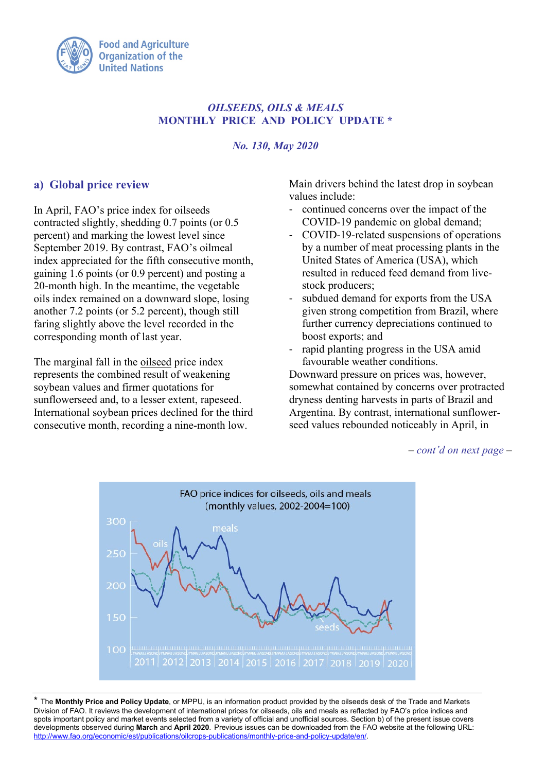

## *OILSEEDS, OILS & MEALS* **MONTHLY PRICE AND POLICY UPDATE \***

#### *No. 130, May 2020*

## **a) Global price review**

In April, FAO's price index for oilseeds contracted slightly, shedding 0.7 points (or 0.5 percent) and marking the lowest level since September 2019. By contrast, FAO's oilmeal index appreciated for the fifth consecutive month, gaining 1.6 points (or 0.9 percent) and posting a 20-month high. In the meantime, the vegetable oils index remained on a downward slope, losing another 7.2 points (or 5.2 percent), though still faring slightly above the level recorded in the corresponding month of last year.

The marginal fall in the oilseed price index represents the combined result of weakening soybean values and firmer quotations for sunflowerseed and, to a lesser extent, rapeseed. International soybean prices declined for the third consecutive month, recording a nine-month low.

Main drivers behind the latest drop in soybean values include:

- continued concerns over the impact of the COVID-19 pandemic on global demand;
- COVID-19-related suspensions of operations by a number of meat processing plants in the United States of America (USA), which resulted in reduced feed demand from livestock producers;
- subdued demand for exports from the USA given strong competition from Brazil, where further currency depreciations continued to boost exports; and
- rapid planting progress in the USA amid favourable weather conditions.

Downward pressure on prices was, however, somewhat contained by concerns over protracted dryness denting harvests in parts of Brazil and Argentina. By contrast, international sunflowerseed values rebounded noticeably in April, in

*– cont'd on next page –* 



\* The **Monthly Price and Policy Update**, or MPPU, is an information product provided by the oilseeds desk of the Trade and Markets Division of FAO. It reviews the development of international prices for oilseeds, oils and meals as reflected by FAO's price indices and spots important policy and market events selected from a variety of official and unofficial sources. Section b) of the present issue covers developments observed during **March** and **April 2020**. Previous issues can be downloaded from the FAO website at the following URL: [http://www.fao.org/economic/est/publications/oilcrops-publications/monthly-price-and-policy-update/en/.](http://www.fao.org/economic/est/publications/oilcrops-publications/monthly-price-and-policy-update/en/)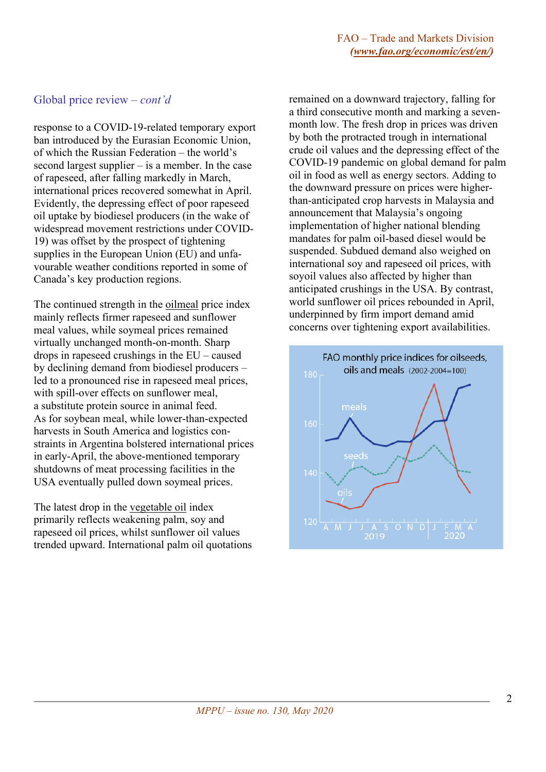#### Global price review *– cont'd*

response to a COVID-19-related temporary export ban introduced by the Eurasian Economic Union, of which the Russian Federation – the world's second largest supplier – is a member. In the case of rapeseed, after falling markedly in March, international prices recovered somewhat in April. Evidently, the depressing effect of poor rapeseed oil uptake by biodiesel producers (in the wake of widespread movement restrictions under COVID-19) was offset by the prospect of tightening supplies in the European Union (EU) and unfavourable weather conditions reported in some of Canada's key production regions.

The continued strength in the oilmeal price index mainly reflects firmer rapeseed and sunflower meal values, while soymeal prices remained virtually unchanged month-on-month. Sharp drops in rapeseed crushings in the EU – caused by declining demand from biodiesel producers – led to a pronounced rise in rapeseed meal prices, with spill-over effects on sunflower meal, a substitute protein source in animal feed. As for soybean meal, while lower-than-expected harvests in South America and logistics constraints in Argentina bolstered international prices in early-April, the above-mentioned temporary shutdowns of meat processing facilities in the USA eventually pulled down soymeal prices.

The latest drop in the vegetable oil index primarily reflects weakening palm, soy and rapeseed oil prices, whilst sunflower oil values trended upward. International palm oil quotations remained on a downward trajectory, falling for a third consecutive month and marking a sevenmonth low. The fresh drop in prices was driven by both the protracted trough in international crude oil values and the depressing effect of the COVID-19 pandemic on global demand for palm oil in food as well as energy sectors. Adding to the downward pressure on prices were higherthan-anticipated crop harvests in Malaysia and announcement that Malaysia's ongoing implementation of higher national blending mandates for palm oil-based diesel would be suspended. Subdued demand also weighed on international soy and rapeseed oil prices, with soyoil values also affected by higher than anticipated crushings in the USA. By contrast, world sunflower oil prices rebounded in April, underpinned by firm import demand amid concerns over tightening export availabilities.

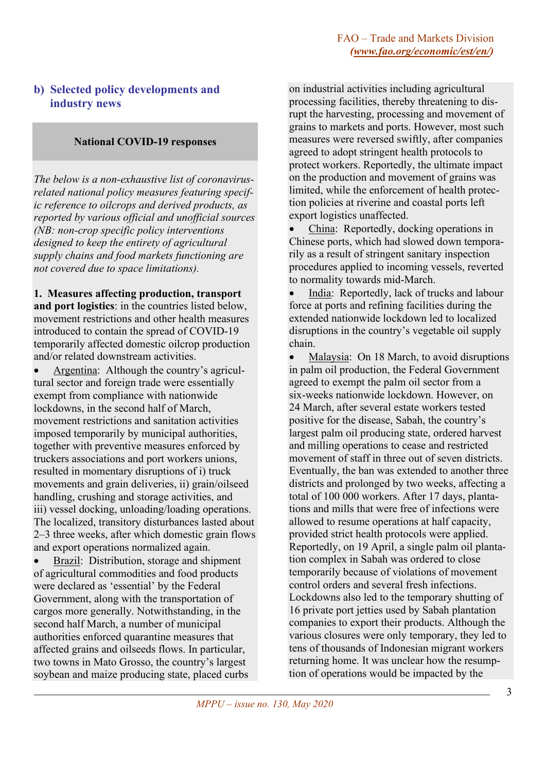# **b) Selected policy developments and industry news**

#### **National COVID-19 responses**

*The below is a non-exhaustive list of coronavirusrelated national policy measures featuring specific reference to oilcrops and derived products, as reported by various official and unofficial sources (NB: non-crop specific policy interventions designed to keep the entirety of agricultural supply chains and food markets functioning are not covered due to space limitations).*

**1. Measures affecting production, transport and port logistics**: in the countries listed below, movement restrictions and other health measures introduced to contain the spread of COVID-19 temporarily affected domestic oilcrop production and/or related downstream activities.

• Argentina: Although the country's agricultural sector and foreign trade were essentially exempt from compliance with nationwide lockdowns, in the second half of March, movement restrictions and sanitation activities imposed temporarily by municipal authorities, together with preventive measures enforced by truckers associations and port workers unions, resulted in momentary disruptions of i) truck movements and grain deliveries, ii) grain/oilseed handling, crushing and storage activities, and iii) vessel docking, unloading/loading operations. The localized, transitory disturbances lasted about 2–3 three weeks, after which domestic grain flows and export operations normalized again.

• Brazil: Distribution, storage and shipment of agricultural commodities and food products were declared as 'essential' by the Federal Government, along with the transportation of cargos more generally. Notwithstanding, in the second half March, a number of municipal authorities enforced quarantine measures that affected grains and oilseeds flows. In particular, two towns in Mato Grosso, the country's largest soybean and maize producing state, placed curbs on industrial activities including agricultural processing facilities, thereby threatening to disrupt the harvesting, processing and movement of grains to markets and ports. However, most such measures were reversed swiftly, after companies agreed to adopt stringent health protocols to protect workers. Reportedly, the ultimate impact on the production and movement of grains was limited, while the enforcement of health protection policies at riverine and coastal ports left export logistics unaffected.

• China: Reportedly, docking operations in Chinese ports, which had slowed down temporarily as a result of stringent sanitary inspection procedures applied to incoming vessels, reverted to normality towards mid-March.

India: Reportedly, lack of trucks and labour force at ports and refining facilities during the extended nationwide lockdown led to localized disruptions in the country's vegetable oil supply chain.

Malaysia: On 18 March, to avoid disruptions in palm oil production, the Federal Government agreed to exempt the palm oil sector from a six-weeks nationwide lockdown. However, on 24 March, after several estate workers tested positive for the disease, Sabah, the country's largest palm oil producing state, ordered harvest and milling operations to cease and restricted movement of staff in three out of seven districts. Eventually, the ban was extended to another three districts and prolonged by two weeks, affecting a total of 100 000 workers. After 17 days, plantations and mills that were free of infections were allowed to resume operations at half capacity, provided strict health protocols were applied. Reportedly, on 19 April, a single palm oil plantation complex in Sabah was ordered to close temporarily because of violations of movement control orders and several fresh infections. Lockdowns also led to the temporary shutting of 16 private port jetties used by Sabah plantation companies to export their products. Although the various closures were only temporary, they led to tens of thousands of Indonesian migrant workers returning home. It was unclear how the resumption of operations would be impacted by the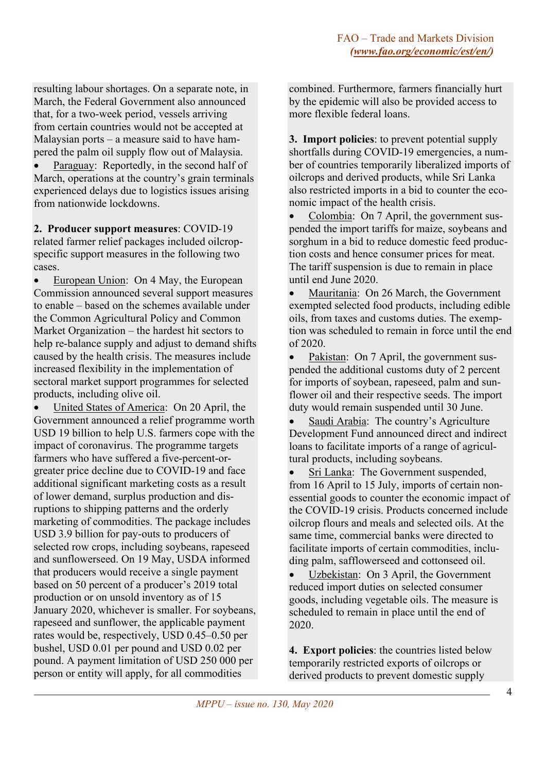resulting labour shortages. On a separate note, in March, the Federal Government also announced that, for a two-week period, vessels arriving from certain countries would not be accepted at Malaysian ports – a measure said to have hampered the palm oil supply flow out of Malaysia.

Paraguay: Reportedly, in the second half of March, operations at the country's grain terminals experienced delays due to logistics issues arising from nationwide lockdowns.

**2. Producer support measures**: COVID-19 related farmer relief packages included oilcropspecific support measures in the following two cases.

European Union: On 4 May, the European Commission announced several support measures to enable – based on the schemes available under the Common Agricultural Policy and Common Market Organization – the hardest hit sectors to help re-balance supply and adjust to demand shifts caused by the health crisis. The measures include increased flexibility in the implementation of sectoral market support programmes for selected products, including olive oil.

• United States of America: On 20 April, the Government announced a relief programme worth USD 19 billion to help U.S. farmers cope with the impact of coronavirus. The programme targets farmers who have suffered a five-percent-orgreater price decline due to COVID-19 and face additional significant marketing costs as a result of lower demand, surplus production and disruptions to shipping patterns and the orderly marketing of commodities. The package includes USD 3.9 billion for pay-outs to producers of selected row crops, including soybeans, rapeseed and sunflowerseed. On 19 May, USDA informed that producers would receive a single payment based on 50 percent of a producer's 2019 total production or on unsold inventory as of 15 January 2020, whichever is smaller. For soybeans, rapeseed and sunflower, the applicable payment rates would be, respectively, USD 0.45–0.50 per bushel, USD 0.01 per pound and USD 0.02 per pound. A payment limitation of USD 250 000 per person or entity will apply, for all commodities

combined. Furthermore, farmers financially hurt by the epidemic will also be provided access to more flexible federal loans.

**3. Import policies**: to prevent potential supply shortfalls during COVID-19 emergencies, a number of countries temporarily liberalized imports of oilcrops and derived products, while Sri Lanka also restricted imports in a bid to counter the economic impact of the health crisis.

• Colombia: On 7 April, the government suspended the import tariffs for maize, soybeans and sorghum in a bid to reduce domestic feed production costs and hence consumer prices for meat. The tariff suspension is due to remain in place until end June 2020.

• Mauritania: On 26 March, the Government exempted selected food products, including edible oils, from taxes and customs duties. The exemption was scheduled to remain in force until the end of 2020.

• Pakistan: On 7 April, the government suspended the additional customs duty of 2 percent for imports of soybean, rapeseed, palm and sunflower oil and their respective seeds. The import duty would remain suspended until 30 June.

• Saudi Arabia: The country's Agriculture Development Fund announced direct and indirect loans to facilitate imports of a range of agricultural products, including soybeans.

• Sri Lanka: The Government suspended, from 16 April to 15 July, imports of certain nonessential goods to counter the economic impact of the COVID-19 crisis. Products concerned include oilcrop flours and meals and selected oils. At the same time, commercial banks were directed to facilitate imports of certain commodities, including palm, safflowerseed and cottonseed oil.

• Uzbekistan: On 3 April, the Government reduced import duties on selected consumer goods, including vegetable oils. The measure is scheduled to remain in place until the end of 2020.

**4. Export policies**: the countries listed below temporarily restricted exports of oilcrops or derived products to prevent domestic supply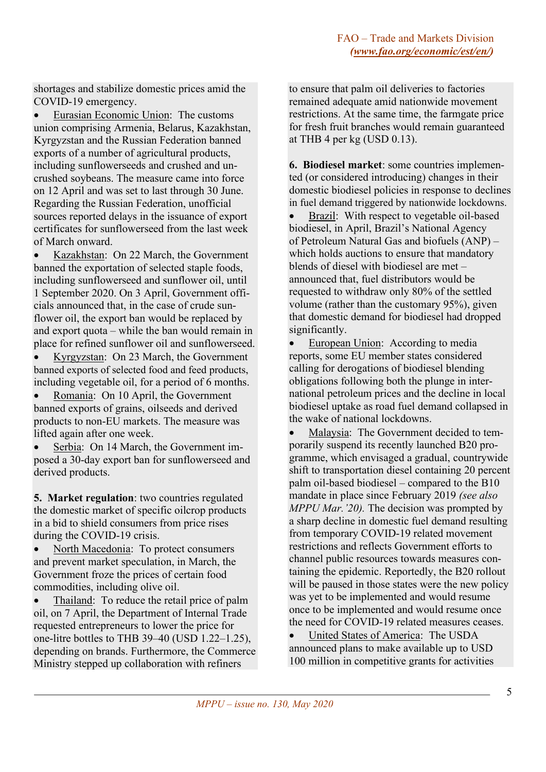shortages and stabilize domestic prices amid the COVID-19 emergency.

• Eurasian Economic Union: The customs union comprising Armenia, Belarus, Kazakhstan, Kyrgyzstan and the Russian Federation banned exports of a number of agricultural products, including sunflowerseeds and crushed and uncrushed soybeans. The measure came into force on 12 April and was set to last through 30 June. Regarding the Russian Federation, unofficial sources reported delays in the issuance of export certificates for sunflowerseed from the last week of March onward.

• Kazakhstan: On 22 March, the Government banned the exportation of selected staple foods, including sunflowerseed and sunflower oil, until 1 September 2020. On 3 April, Government officials announced that, in the case of crude sunflower oil, the export ban would be replaced by and export quota – while the ban would remain in place for refined sunflower oil and sunflowerseed.

• Kyrgyzstan: On 23 March, the Government banned exports of selected food and feed products, including vegetable oil, for a period of 6 months.

• Romania: On 10 April, the Government banned exports of grains, oilseeds and derived products to non-EU markets. The measure was lifted again after one week.

Serbia: On 14 March, the Government imposed a 30-day export ban for sunflowerseed and derived products.

**5. Market regulation**: two countries regulated the domestic market of specific oilcrop products in a bid to shield consumers from price rises during the COVID-19 crisis.

• North Macedonia: To protect consumers and prevent market speculation, in March, the Government froze the prices of certain food commodities, including olive oil.

Thailand: To reduce the retail price of palm oil, on 7 April, the Department of Internal Trade requested entrepreneurs to lower the price for one-litre bottles to THB 39–40 (USD 1.22–1.25), depending on brands. Furthermore, the Commerce Ministry stepped up collaboration with refiners

to ensure that palm oil deliveries to factories remained adequate amid nationwide movement restrictions. At the same time, the farmgate price for fresh fruit branches would remain guaranteed at THB 4 per kg (USD 0.13).

**6. Biodiesel market**: some countries implemented (or considered introducing) changes in their domestic biodiesel policies in response to declines in fuel demand triggered by nationwide lockdowns.

• Brazil: With respect to vegetable oil-based biodiesel, in April, Brazil's National Agency of Petroleum Natural Gas and biofuels (ANP) – which holds auctions to ensure that mandatory blends of diesel with biodiesel are met – announced that, fuel distributors would be requested to withdraw only 80% of the settled volume (rather than the customary 95%), given that domestic demand for biodiesel had dropped significantly.

European Union: According to media reports, some EU member states considered calling for derogations of biodiesel blending obligations following both the plunge in international petroleum prices and the decline in local biodiesel uptake as road fuel demand collapsed in the wake of national lockdowns.

Malaysia: The Government decided to temporarily suspend its recently launched B20 programme, which envisaged a gradual, countrywide shift to transportation diesel containing 20 percent palm oil-based biodiesel – compared to the B10 mandate in place since February 2019 *(see also MPPU Mar.'20).* The decision was prompted by a sharp decline in domestic fuel demand resulting from temporary COVID-19 related movement restrictions and reflects Government efforts to channel public resources towards measures containing the epidemic. Reportedly, the B20 rollout will be paused in those states were the new policy was yet to be implemented and would resume once to be implemented and would resume once the need for COVID-19 related measures ceases.

• United States of America: The USDA announced plans to make available up to USD 100 million in competitive grants for activities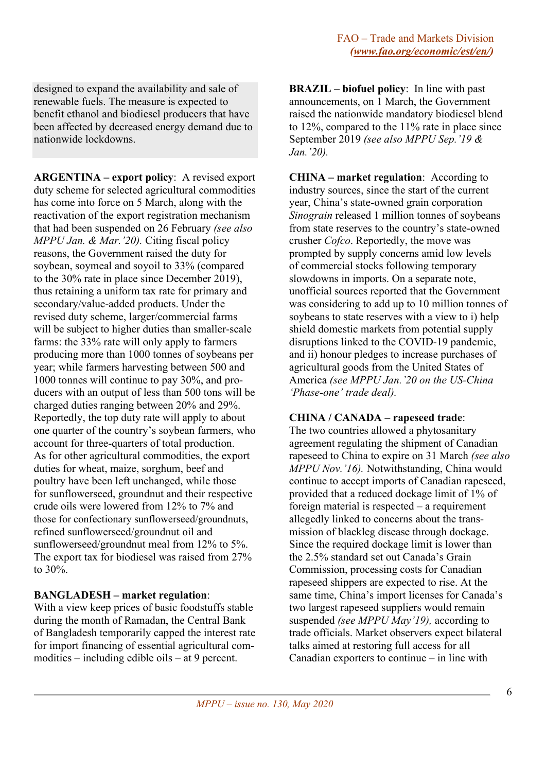designed to expand the availability and sale of renewable fuels. The measure is expected to benefit ethanol and biodiesel producers that have been affected by decreased energy demand due to nationwide lockdowns.

**ARGENTINA – export policy**: A revised export duty scheme for selected agricultural commodities has come into force on 5 March, along with the reactivation of the export registration mechanism that had been suspended on 26 February *(see also MPPU Jan. & Mar.'20).* Citing fiscal policy reasons, the Government raised the duty for soybean, soymeal and soyoil to 33% (compared to the 30% rate in place since December 2019), thus retaining a uniform tax rate for primary and secondary/value-added products. Under the revised duty scheme, larger/commercial farms will be subject to higher duties than smaller-scale farms: the 33% rate will only apply to farmers producing more than 1000 tonnes of soybeans per year; while farmers harvesting between 500 and 1000 tonnes will continue to pay 30%, and producers with an output of less than 500 tons will be charged duties ranging between 20% and 29%. Reportedly, the top duty rate will apply to about one quarter of the country's soybean farmers, who account for three-quarters of total production. As for other agricultural commodities, the export duties for wheat, maize, sorghum, beef and poultry have been left unchanged, while those for sunflowerseed, groundnut and their respective crude oils were lowered from 12% to 7% and those for confectionary sunflowerseed/groundnuts, refined sunflowerseed/groundnut oil and sunflowerseed/groundnut meal from 12% to 5%. The export tax for biodiesel was raised from 27% to 30%.

## **BANGLADESH – market regulation**:

With a view keep prices of basic foodstuffs stable during the month of Ramadan, the Central Bank of Bangladesh temporarily capped the interest rate for import financing of essential agricultural commodities – including edible oils – at 9 percent.

**BRAZIL – biofuel policy**: In line with past announcements, on 1 March, the Government raised the nationwide mandatory biodiesel blend to 12%, compared to the 11% rate in place since September 2019 *(see also MPPU Sep.'19 & Jan.'20).*

**CHINA – market regulation**: According to industry sources, since the start of the current year, China's state-owned grain corporation *Sinograin* released 1 million tonnes of soybeans from state reserves to the country's state-owned crusher *Cofco*. Reportedly, the move was prompted by supply concerns amid low levels of commercial stocks following temporary slowdowns in imports. On a separate note, unofficial sources reported that the Government was considering to add up to 10 million tonnes of soybeans to state reserves with a view to i) help shield domestic markets from potential supply disruptions linked to the COVID-19 pandemic, and ii) honour pledges to increase purchases of agricultural goods from the United States of America *(see MPPU Jan.'20 on the US-China 'Phase-one' trade deal).*

## **CHINA / CANADA – rapeseed trade**:

The two countries allowed a phytosanitary agreement regulating the shipment of Canadian rapeseed to China to expire on 31 March *(see also MPPU Nov.'16).* Notwithstanding, China would continue to accept imports of Canadian rapeseed, provided that a reduced dockage limit of 1% of foreign material is respected – a requirement allegedly linked to concerns about the transmission of blackleg disease through dockage. Since the required dockage limit is lower than the 2.5% standard set out Canada's Grain Commission, processing costs for Canadian rapeseed shippers are expected to rise. At the same time, China's import licenses for Canada's two largest rapeseed suppliers would remain suspended *(see MPPU May'19),* according to trade officials. Market observers expect bilateral talks aimed at restoring full access for all Canadian exporters to continue – in line with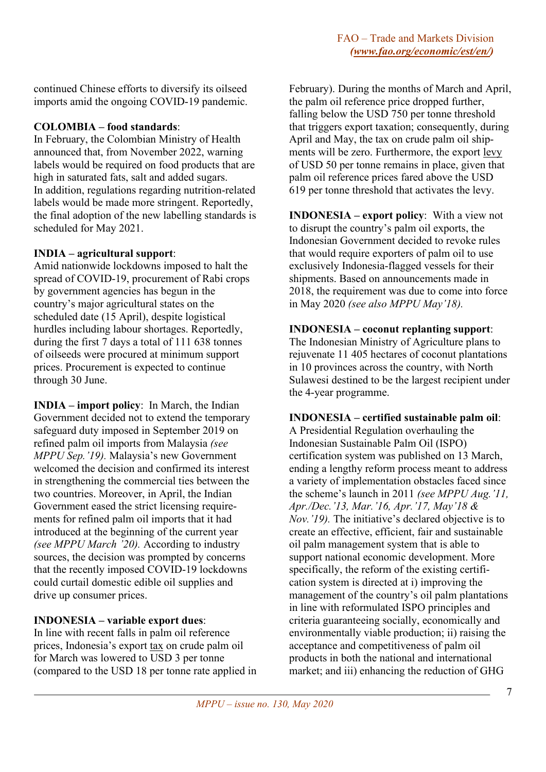continued Chinese efforts to diversify its oilseed imports amid the ongoing COVID-19 pandemic.

# **COLOMBIA – food standards**:

In February, the Colombian Ministry of Health announced that, from November 2022, warning labels would be required on food products that are high in saturated fats, salt and added sugars. In addition, regulations regarding nutrition-related labels would be made more stringent. Reportedly, the final adoption of the new labelling standards is scheduled for May 2021.

## **INDIA – agricultural support**:

Amid nationwide lockdowns imposed to halt the spread of COVID-19, procurement of Rabi crops by government agencies has begun in the country's major agricultural states on the scheduled date (15 April), despite logistical hurdles including labour shortages. Reportedly, during the first 7 days a total of 111 638 tonnes of oilseeds were procured at minimum support prices. Procurement is expected to continue through 30 June.

**INDIA – import policy**: In March, the Indian Government decided not to extend the temporary safeguard duty imposed in September 2019 on refined palm oil imports from Malaysia *(see MPPU Sep.'19).* Malaysia's new Government welcomed the decision and confirmed its interest in strengthening the commercial ties between the two countries. Moreover, in April, the Indian Government eased the strict licensing requirements for refined palm oil imports that it had introduced at the beginning of the current year *(see MPPU March '20).* According to industry sources, the decision was prompted by concerns that the recently imposed COVID-19 lockdowns could curtail domestic edible oil supplies and drive up consumer prices.

# **INDONESIA – variable export dues**:

In line with recent falls in palm oil reference prices, Indonesia's export tax on crude palm oil for March was lowered to USD 3 per tonne (compared to the USD 18 per tonne rate applied in

February). During the months of March and April, the palm oil reference price dropped further, falling below the USD 750 per tonne threshold that triggers export taxation; consequently, during April and May, the tax on crude palm oil shipments will be zero. Furthermore, the export levy of USD 50 per tonne remains in place, given that palm oil reference prices fared above the USD 619 per tonne threshold that activates the levy.

**INDONESIA – export policy**: With a view not to disrupt the country's palm oil exports, the Indonesian Government decided to revoke rules that would require exporters of palm oil to use exclusively Indonesia-flagged vessels for their shipments. Based on announcements made in 2018, the requirement was due to come into force in May 2020 *(see also MPPU May'18).*

# **INDONESIA – coconut replanting support**:

The Indonesian Ministry of Agriculture plans to rejuvenate 11 405 hectares of coconut plantations in 10 provinces across the country, with North Sulawesi destined to be the largest recipient under the 4-year programme.

# **INDONESIA – certified sustainable palm oil**:

A Presidential Regulation overhauling the Indonesian Sustainable Palm Oil (ISPO) certification system was published on 13 March, ending a lengthy reform process meant to address a variety of implementation obstacles faced since the scheme's launch in 2011 *(see MPPU Aug.'11, Apr./Dec.'13, Mar.'16, Apr.'17, May'18 & Nov.'19).* The initiative's declared objective is to create an effective, efficient, fair and sustainable oil palm management system that is able to support national economic development. More specifically, the reform of the existing certification system is directed at i) improving the management of the country's oil palm plantations in line with reformulated ISPO principles and criteria guaranteeing socially, economically and environmentally viable production; ii) raising the acceptance and competitiveness of palm oil products in both the national and international market; and iii) enhancing the reduction of GHG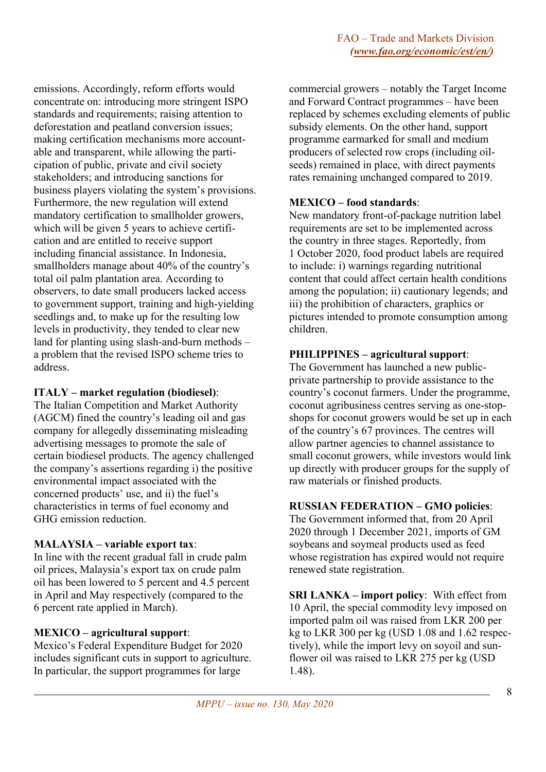emissions. Accordingly, reform efforts would concentrate on: introducing more stringent ISPO standards and requirements; raising attention to deforestation and peatland conversion issues; making certification mechanisms more accountable and transparent, while allowing the participation of public, private and civil society stakeholders; and introducing sanctions for business players violating the system's provisions. Furthermore, the new regulation will extend mandatory certification to smallholder growers, which will be given 5 years to achieve certification and are entitled to receive support including financial assistance. In Indonesia, smallholders manage about 40% of the country's total oil palm plantation area. According to observers, to date small producers lacked access to government support, training and high-yielding seedlings and, to make up for the resulting low levels in productivity, they tended to clear new land for planting using slash-and-burn methods – a problem that the revised ISPO scheme tries to address.

## **ITALY – market regulation (biodiesel)**:

The Italian Competition and Market Authority (AGCM) fined the country's leading oil and gas company for allegedly disseminating misleading advertising messages to promote the sale of certain biodiesel products. The agency challenged the company's assertions regarding i) the positive environmental impact associated with the concerned products' use, and ii) the fuel's characteristics in terms of fuel economy and GHG emission reduction.

# **MALAYSIA – variable export tax**:

In line with the recent gradual fall in crude palm oil prices, Malaysia's export tax on crude palm oil has been lowered to 5 percent and 4.5 percent in April and May respectively (compared to the 6 percent rate applied in March).

# **MEXICO – agricultural support**:

Mexico's Federal Expenditure Budget for 2020 includes significant cuts in support to agriculture. In particular, the support programmes for large

commercial growers – notably the Target Income and Forward Contract programmes – have been replaced by schemes excluding elements of public subsidy elements. On the other hand, support programme earmarked for small and medium producers of selected row crops (including oilseeds) remained in place, with direct payments rates remaining unchanged compared to 2019.

## **MEXICO – food standards**:

New mandatory front-of-package nutrition label requirements are set to be implemented across the country in three stages. Reportedly, from 1 October 2020, food product labels are required to include: i) warnings regarding nutritional content that could affect certain health conditions among the population; ii) cautionary legends; and iii) the prohibition of characters, graphics or pictures intended to promote consumption among children.

## **PHILIPPINES – agricultural support**:

The Government has launched a new publicprivate partnership to provide assistance to the country's coconut farmers. Under the programme, coconut agribusiness centres serving as one-stopshops for coconut growers would be set up in each of the country's 67 provinces. The centres will allow partner agencies to channel assistance to small coconut growers, while investors would link up directly with producer groups for the supply of raw materials or finished products.

## **RUSSIAN FEDERATION – GMO policies**:

The Government informed that, from 20 April 2020 through 1 December 2021, imports of GM soybeans and soymeal products used as feed whose registration has expired would not require renewed state registration.

**SRI LANKA – import policy**: With effect from 10 April, the special commodity levy imposed on imported palm oil was raised from LKR 200 per kg to LKR 300 per kg (USD 1.08 and 1.62 respectively), while the import levy on soyoil and sunflower oil was raised to LKR 275 per kg (USD 1.48).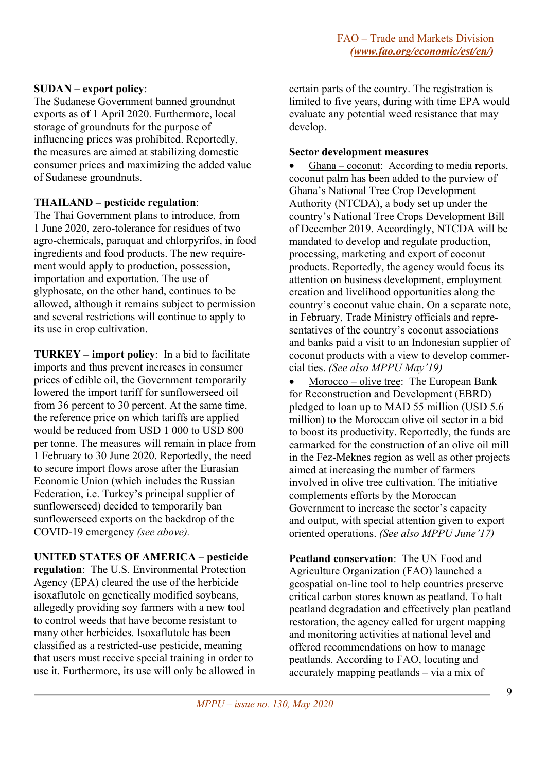## **SUDAN – export policy**:

The Sudanese Government banned groundnut exports as of 1 April 2020. Furthermore, local storage of groundnuts for the purpose of influencing prices was prohibited. Reportedly, the measures are aimed at stabilizing domestic consumer prices and maximizing the added value of Sudanese groundnuts.

## **THAILAND – pesticide regulation**:

The Thai Government plans to introduce, from 1 June 2020, zero-tolerance for residues of two agro-chemicals, paraquat and chlorpyrifos, in food ingredients and food products. The new requirement would apply to production, possession, importation and exportation. The use of glyphosate, on the other hand, continues to be allowed, although it remains subject to permission and several restrictions will continue to apply to its use in crop cultivation.

**TURKEY – import policy**: In a bid to facilitate imports and thus prevent increases in consumer prices of edible oil, the Government temporarily lowered the import tariff for sunflowerseed oil from 36 percent to 30 percent. At the same time, the reference price on which tariffs are applied would be reduced from USD 1 000 to USD 800 per tonne. The measures will remain in place from 1 February to 30 June 2020. Reportedly, the need to secure import flows arose after the Eurasian Economic Union (which includes the Russian Federation, i.e. Turkey's principal supplier of sunflowerseed) decided to temporarily ban sunflowerseed exports on the backdrop of the COVID-19 emergency *(see above).*

## **UNITED STATES OF AMERICA – pesticide**

**regulation**: The U.S. Environmental Protection Agency (EPA) cleared the use of the herbicide isoxaflutole on genetically modified soybeans, allegedly providing soy farmers with a new tool to control weeds that have become resistant to many other herbicides. Isoxaflutole has been classified as a restricted-use pesticide, meaning that users must receive special training in order to use it. Furthermore, its use will only be allowed in

certain parts of the country. The registration is limited to five years, during with time EPA would evaluate any potential weed resistance that may develop.

## **Sector development measures**

Ghana – coconut: According to media reports, coconut palm has been added to the purview of Ghana's National Tree Crop Development Authority (NTCDA), a body set up under the country's National Tree Crops Development Bill of December 2019. Accordingly, NTCDA will be mandated to develop and regulate production, processing, marketing and export of coconut products. Reportedly, the agency would focus its attention on business development, employment creation and livelihood opportunities along the country's coconut value chain. On a separate note, in February, Trade Ministry officials and representatives of the country's coconut associations and banks paid a visit to an Indonesian supplier of coconut products with a view to develop commercial ties. *(See also MPPU May'19)*

Morocco – olive tree: The European Bank for Reconstruction and Development (EBRD) pledged to loan up to MAD 55 million (USD 5.6 million) to the Moroccan olive oil sector in a bid to boost its productivity. Reportedly, the funds are earmarked for the construction of an olive oil mill in the Fez-Meknes region as well as other projects aimed at increasing the number of farmers involved in olive tree cultivation. The initiative complements efforts by the Moroccan Government to increase the sector's capacity and output, with special attention given to export oriented operations. *(See also MPPU June'17)*

**Peatland conservation**: The UN Food and Agriculture Organization (FAO) launched a geospatial on-line tool to help countries preserve critical carbon stores known as peatland. To halt peatland degradation and effectively plan peatland restoration, the agency called for urgent mapping and monitoring activities at national level and offered recommendations on how to manage peatlands. According to FAO, locating and accurately mapping peatlands – via a mix of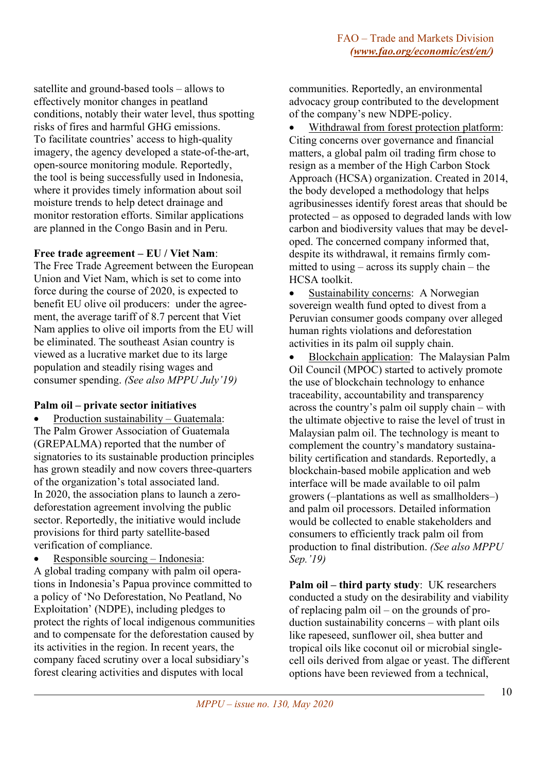satellite and ground-based tools – allows to effectively monitor changes in peatland conditions, notably their water level, thus spotting risks of fires and harmful GHG emissions. To facilitate countries' access to high-quality imagery, the agency developed a state-of-the-art, open-source monitoring module. Reportedly, the tool is being successfully used in Indonesia, where it provides timely information about soil moisture trends to help detect drainage and monitor restoration efforts. Similar applications are planned in the Congo Basin and in Peru.

#### **Free trade agreement – EU / Viet Nam**:

The Free Trade Agreement between the European Union and Viet Nam, which is set to come into force during the course of 2020, is expected to benefit EU olive oil producers: under the agreement, the average tariff of 8.7 percent that Viet Nam applies to olive oil imports from the EU will be eliminated. The southeast Asian country is viewed as a lucrative market due to its large population and steadily rising wages and consumer spending. *(See also MPPU July'19)*

#### **Palm oil – private sector initiatives**

• Production sustainability – Guatemala: The Palm Grower Association of Guatemala (GREPALMA) reported that the number of signatories to its sustainable production principles has grown steadily and now covers three-quarters of the organization's total associated land. In 2020, the association plans to launch a zerodeforestation agreement involving the public sector. Reportedly, the initiative would include provisions for third party satellite-based verification of compliance.

• Responsible sourcing – Indonesia:

A global trading company with palm oil operations in Indonesia's Papua province committed to a policy of 'No Deforestation, No Peatland, No Exploitation' (NDPE), including pledges to protect the rights of local indigenous communities and to compensate for the deforestation caused by its activities in the region. In recent years, the company faced scrutiny over a local subsidiary's forest clearing activities and disputes with local

communities. Reportedly, an environmental advocacy group contributed to the development of the company's new NDPE-policy.

• Withdrawal from forest protection platform: Citing concerns over governance and financial matters, a global palm oil trading firm chose to resign as a member of the High Carbon Stock Approach (HCSA) organization. Created in 2014, the body developed a methodology that helps agribusinesses identify forest areas that should be protected – as opposed to degraded lands with low carbon and biodiversity values that may be developed. The concerned company informed that, despite its withdrawal, it remains firmly committed to using – across its supply chain – the HCSA toolkit.

Sustainability concerns: A Norwegian sovereign wealth fund opted to divest from a Peruvian consumer goods company over alleged human rights violations and deforestation activities in its palm oil supply chain.

• Blockchain application: The Malaysian Palm Oil Council (MPOC) started to actively promote the use of blockchain technology to enhance traceability, accountability and transparency across the country's palm oil supply chain – with the ultimate objective to raise the level of trust in Malaysian palm oil. The technology is meant to complement the country's mandatory sustainability certification and standards. Reportedly, a blockchain-based mobile application and web interface will be made available to oil palm growers (–plantations as well as smallholders–) and palm oil processors. Detailed information would be collected to enable stakeholders and consumers to efficiently track palm oil from production to final distribution. *(See also MPPU Sep.'19)*

**Palm oil – third party study**: UK researchers conducted a study on the desirability and viability of replacing palm oil – on the grounds of production sustainability concerns – with plant oils like rapeseed, sunflower oil, shea butter and tropical oils like coconut oil or microbial singlecell oils derived from algae or yeast. The different options have been reviewed from a technical,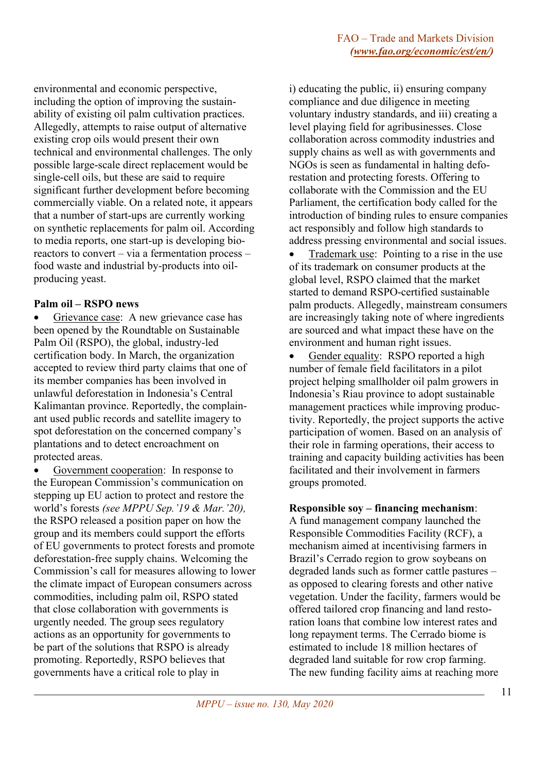environmental and economic perspective, including the option of improving the sustainability of existing oil palm cultivation practices. Allegedly, attempts to raise output of alternative existing crop oils would present their own technical and environmental challenges. The only possible large-scale direct replacement would be single-cell oils, but these are said to require significant further development before becoming commercially viable. On a related note, it appears that a number of start-ups are currently working on synthetic replacements for palm oil. According to media reports, one start-up is developing bioreactors to convert – via a fermentation process – food waste and industrial by-products into oilproducing yeast.

## **Palm oil – RSPO news**

Grievance case: A new grievance case has been opened by the Roundtable on Sustainable Palm Oil (RSPO), the global, industry-led certification body. In March, the organization accepted to review third party claims that one of its member companies has been involved in unlawful deforestation in Indonesia's Central Kalimantan province. Reportedly, the complainant used public records and satellite imagery to spot deforestation on the concerned company's plantations and to detect encroachment on protected areas.

Government cooperation: In response to the European Commission's communication on stepping up EU action to protect and restore the world's forests *(see MPPU Sep.'19 & Mar.'20),* the RSPO released a position paper on how the group and its members could support the efforts of EU governments to protect forests and promote deforestation-free supply chains. Welcoming the Commission's call for measures allowing to lower the climate impact of European consumers across commodities, including palm oil, RSPO stated that close collaboration with governments is urgently needed. The group sees regulatory actions as an opportunity for governments to be part of the solutions that RSPO is already promoting. Reportedly, RSPO believes that governments have a critical role to play in

i) educating the public, ii) ensuring company compliance and due diligence in meeting voluntary industry standards, and iii) creating a level playing field for agribusinesses. Close collaboration across commodity industries and supply chains as well as with governments and NGOs is seen as fundamental in halting deforestation and protecting forests. Offering to collaborate with the Commission and the EU Parliament, the certification body called for the introduction of binding rules to ensure companies act responsibly and follow high standards to address pressing environmental and social issues.

• Trademark use: Pointing to a rise in the use of its trademark on consumer products at the global level, RSPO claimed that the market started to demand RSPO-certified sustainable palm products. Allegedly, mainstream consumers are increasingly taking note of where ingredients are sourced and what impact these have on the environment and human right issues.

• Gender equality: RSPO reported a high number of female field facilitators in a pilot project helping smallholder oil palm growers in Indonesia's Riau province to adopt sustainable management practices while improving productivity. Reportedly, the project supports the active participation of women. Based on an analysis of their role in farming operations, their access to training and capacity building activities has been facilitated and their involvement in farmers groups promoted.

# **Responsible soy – financing mechanism**:

A fund management company launched the Responsible Commodities Facility (RCF), a mechanism aimed at incentivising farmers in Brazil's Cerrado region to grow soybeans on degraded lands such as former cattle pastures – as opposed to clearing forests and other native vegetation. Under the facility, farmers would be offered tailored crop financing and land restoration loans that combine low interest rates and long repayment terms. The Cerrado biome is estimated to include 18 million hectares of degraded land suitable for row crop farming. The new funding facility aims at reaching more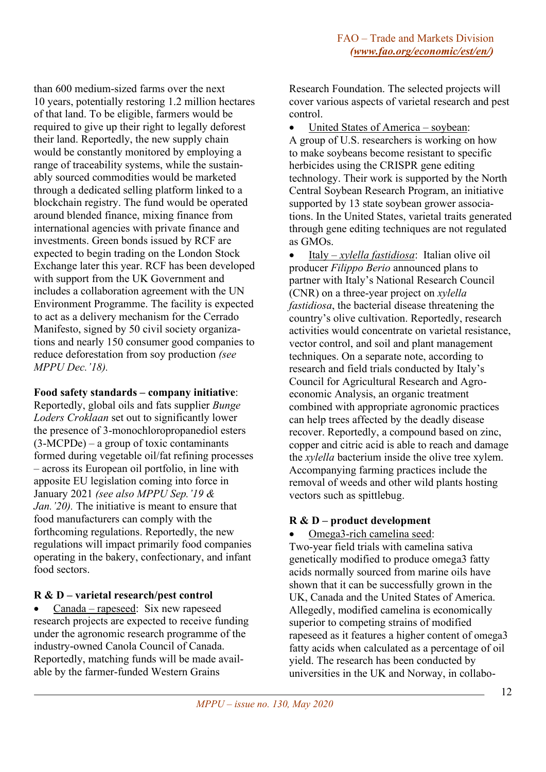than 600 medium-sized farms over the next 10 years, potentially restoring 1.2 million hectares of that land. To be eligible, farmers would be required to give up their right to legally deforest their land. Reportedly, the new supply chain would be constantly monitored by employing a range of traceability systems, while the sustainably sourced commodities would be marketed through a dedicated selling platform linked to a blockchain registry. The fund would be operated around blended finance, mixing finance from international agencies with private finance and investments. Green bonds issued by RCF are expected to begin trading on the London Stock Exchange later this year. RCF has been developed with support from the UK Government and includes a collaboration agreement with the UN Environment Programme. The facility is expected to act as a delivery mechanism for the Cerrado Manifesto, signed by 50 civil society organizations and nearly 150 consumer good companies to reduce deforestation from soy production *(see MPPU Dec.'18).*

## **Food safety standards – company initiative**:

Reportedly, global oils and fats supplier *Bunge Loders Croklaan* set out to significantly lower the presence of 3-monochloropropanediol esters (3-MCPDe) – a group of toxic contaminants formed during vegetable oil/fat refining processes – across its European oil portfolio, in line with apposite EU legislation coming into force in January 2021 *(see also MPPU Sep.'19 & Jan.'20).* The initiative is meant to ensure that food manufacturers can comply with the forthcoming regulations. Reportedly, the new regulations will impact primarily food companies operating in the bakery, confectionary, and infant food sectors.

# **R & D – varietal research/pest control**

• Canada – rapeseed: Six new rapeseed research projects are expected to receive funding under the agronomic research programme of the industry-owned Canola Council of Canada. Reportedly, matching funds will be made available by the farmer-funded Western Grains

Research Foundation. The selected projects will cover various aspects of varietal research and pest control.

• United States of America – soybean: A group of U.S. researchers is working on how to make soybeans become resistant to specific herbicides using the CRISPR gene editing technology. Their work is supported by the North Central Soybean Research Program, an initiative supported by 13 state soybean grower associations. In the United States, varietal traits generated through gene editing techniques are not regulated as GMOs.

• Italy – *xylella fastidiosa*: Italian olive oil producer *Filippo Berio* announced plans to partner with Italy's National Research Council (CNR) on a three-year project on *xylella fastidiosa*, the bacterial disease threatening the country's olive cultivation. Reportedly, research activities would concentrate on varietal resistance, vector control, and soil and plant management techniques. On a separate note, according to research and field trials conducted by Italy's Council for Agricultural Research and Agroeconomic Analysis, an organic treatment combined with appropriate agronomic practices can help trees affected by the deadly disease recover. Reportedly, a compound based on zinc, copper and citric acid is able to reach and damage the *xylella* bacterium inside the olive tree xylem. Accompanying farming practices include the removal of weeds and other wild plants hosting vectors such as spittlebug.

# **R & D – product development**

• Omega3-rich camelina seed:

Two-year field trials with camelina sativa genetically modified to produce omega3 fatty acids normally sourced from marine oils have shown that it can be successfully grown in the UK, Canada and the United States of America. Allegedly, modified camelina is economically superior to competing strains of modified rapeseed as it features a higher content of omega3 fatty acids when calculated as a percentage of oil yield. The research has been conducted by universities in the UK and Norway, in collabo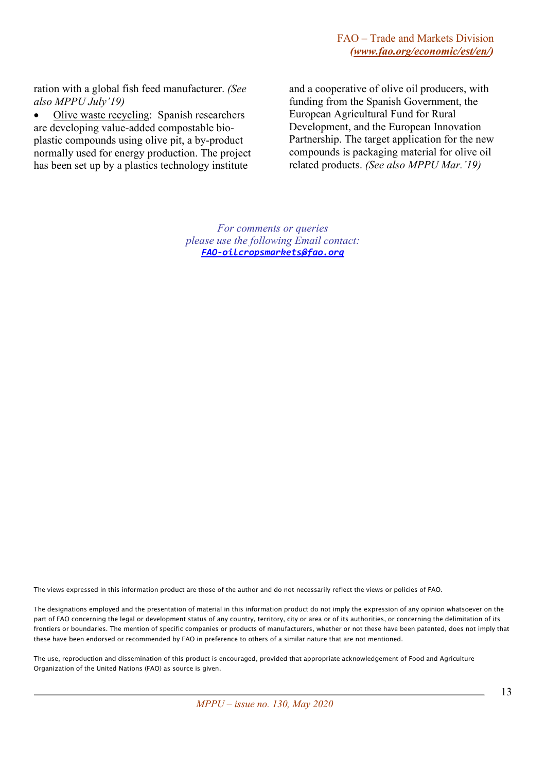ration with a global fish feed manufacturer. *(See also MPPU July'19)*

• Olive waste recycling: Spanish researchers are developing value-added compostable bioplastic compounds using olive pit, a by-product normally used for energy production. The project has been set up by a plastics technology institute

and a cooperative of olive oil producers, with funding from the Spanish Government, the European Agricultural Fund for Rural Development, and the European Innovation Partnership. The target application for the new compounds is packaging material for olive oil related products. *(See also MPPU Mar.'19)*

*For comments or queries please use the following Email contact: [FAO-oilcropsmarkets@fao.org](mailto:FAO-oilcropsmarkets@fao.org)*

The views expressed in this information product are those of the author and do not necessarily reflect the views or policies of FAO.

The designations employed and the presentation of material in this information product do not imply the expression of any opinion whatsoever on the part of FAO concerning the legal or development status of any country, territory, city or area or of its authorities, or concerning the delimitation of its frontiers or boundaries. The mention of specific companies or products of manufacturers, whether or not these have been patented, does not imply that these have been endorsed or recommended by FAO in preference to others of a similar nature that are not mentioned.

The use, reproduction and dissemination of this product is encouraged, provided that appropriate acknowledgement of Food and Agriculture Organization of the United Nations (FAO) as source is given.